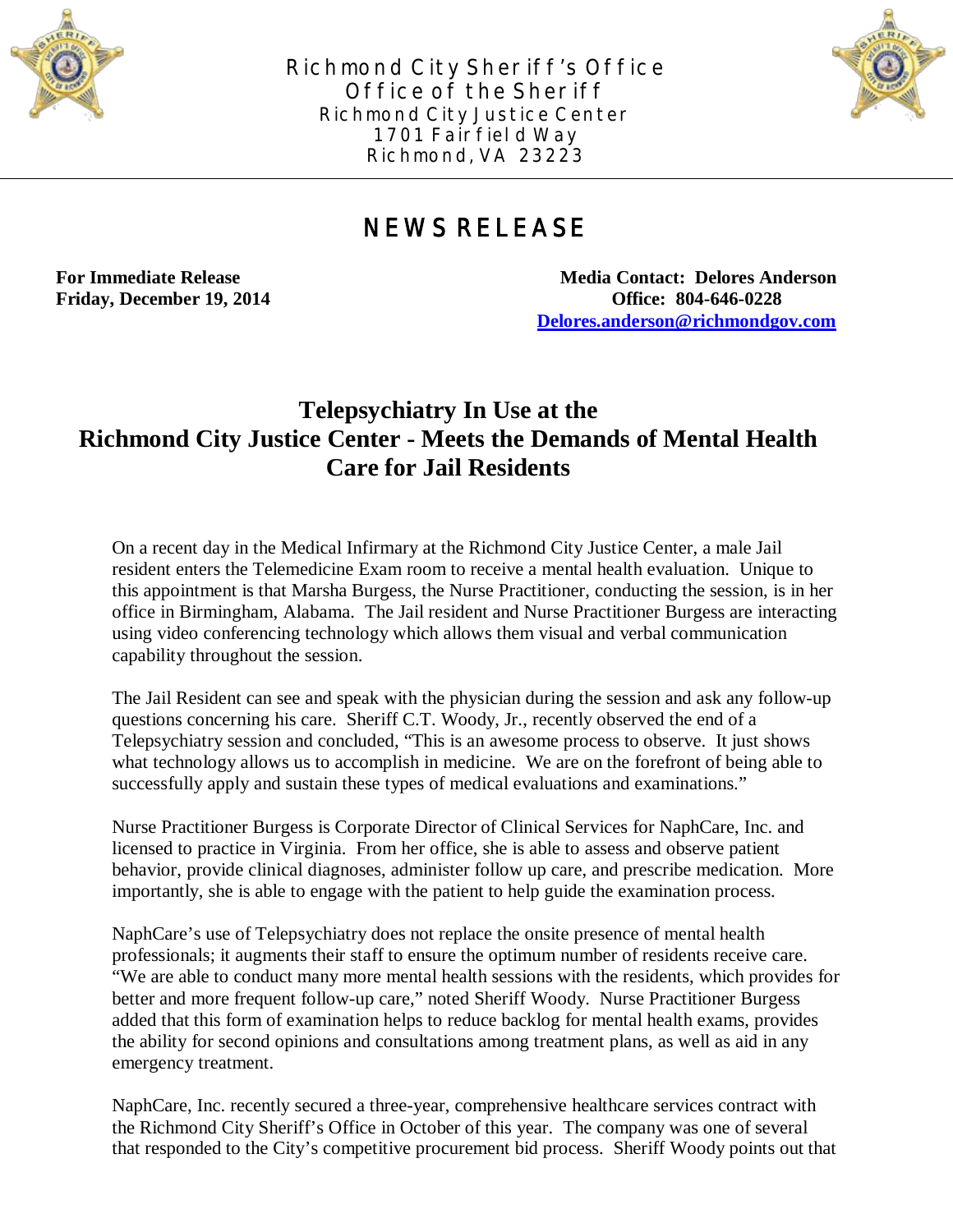

**Richmond City Sheriff's Office Office of the Sheriff Richmond City Justice Center 1701 Fairfield Way Richmond, VA 23223**



## **NEWS RELEASE**

**For Immediate Release Media Contact: Delores Anderson Friday, December 19, 2014 Office: 804-646-0228 [Delores.anderson@richmondgov.com](mailto:Delores.anderson@richmondgov.com)**

## **Telepsychiatry In Use at the Richmond City Justice Center - Meets the Demands of Mental Health Care for Jail Residents**

On a recent day in the Medical Infirmary at the Richmond City Justice Center, a male Jail resident enters the Telemedicine Exam room to receive a mental health evaluation. Unique to this appointment is that Marsha Burgess, the Nurse Practitioner, conducting the session, is in her office in Birmingham, Alabama. The Jail resident and Nurse Practitioner Burgess are interacting using video conferencing technology which allows them visual and verbal communication capability throughout the session.

The Jail Resident can see and speak with the physician during the session and ask any follow-up questions concerning his care. Sheriff C.T. Woody, Jr., recently observed the end of a Telepsychiatry session and concluded, "This is an awesome process to observe. It just shows what technology allows us to accomplish in medicine. We are on the forefront of being able to successfully apply and sustain these types of medical evaluations and examinations."

Nurse Practitioner Burgess is Corporate Director of Clinical Services for NaphCare, Inc. and licensed to practice in Virginia. From her office, she is able to assess and observe patient behavior, provide clinical diagnoses, administer follow up care, and prescribe medication. More importantly, she is able to engage with the patient to help guide the examination process.

NaphCare's use of Telepsychiatry does not replace the onsite presence of mental health professionals; it augments their staff to ensure the optimum number of residents receive care. "We are able to conduct many more mental health sessions with the residents, which provides for better and more frequent follow-up care," noted Sheriff Woody. Nurse Practitioner Burgess added that this form of examination helps to reduce backlog for mental health exams, provides the ability for second opinions and consultations among treatment plans, as well as aid in any emergency treatment.

NaphCare, Inc. recently secured a three-year, comprehensive healthcare services contract with the Richmond City Sheriff's Office in October of this year. The company was one of several that responded to the City's competitive procurement bid process. Sheriff Woody points out that